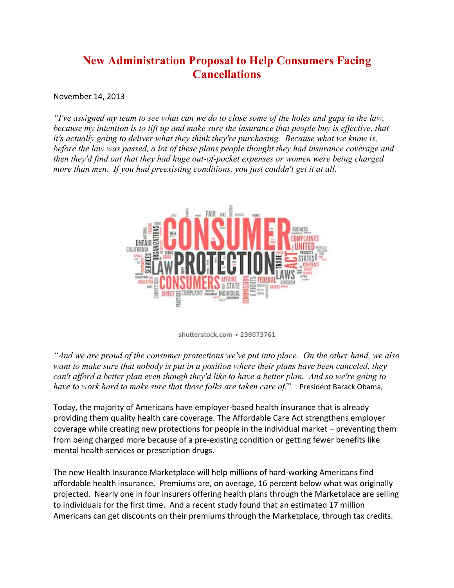## **New Administration Proposal to Help Consumers Facing Cancellations**

November 14, 2013

*"I've assigned my team to see what can we do to close some of the holes and gaps in the law, because my intention is to lift up and make sure the insurance that people buy is effective, that it's actually going to deliver what they think they're purchasing. Because what we know is, before the law was passed, a lot of these plans people thought they had insurance coverage and then they'd find out that they had huge out-of-pocket expenses or women were being charged more than men. If you had preexisting conditions, you just couldn't get it at all.*



shutterstock.com · 238073761

*"And we are proud of the consumer protections we've put into place. On the other hand, we also want to make sure that nobody is put in a position where their plans have been canceled, they can't afford a better plan even though they'd like to have a better plan. And so we're going to have to work hard to make sure that those folks are taken care of.*" – President Barack Obama,

Today, the majority of Americans have employer-based health insurance that is already providing them quality health care coverage. The Affordable Care Act strengthens employer coverage while creating new protections for people in the individual market – preventing them from being charged more because of a pre-existing condition or getting fewer benefits like mental health services or prescription drugs.

The new Health Insurance Marketplace will help millions of hard-working Americans find affordable health insurance. Premiums are, on average, 16 percent below what was originally projected. Nearly one in four insurers offering health plans through the Marketplace are selling to individuals for the first time. And a recent study found that an estimated 17 million Americans can get discounts on their premiums through the Marketplace, through tax credits.